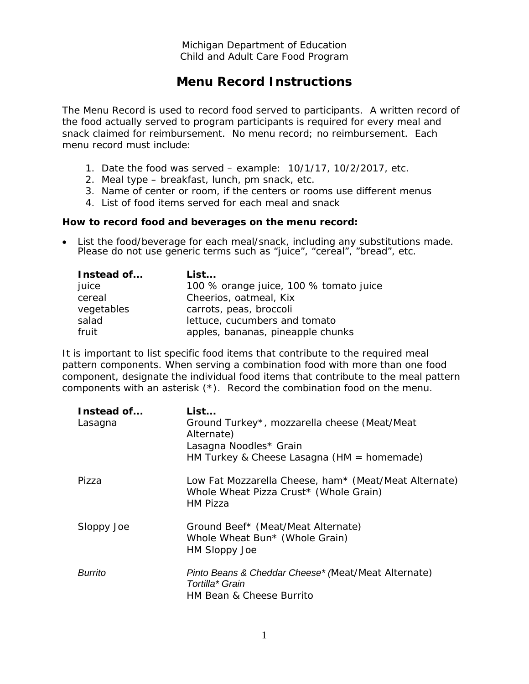Michigan Department of Education Child and Adult Care Food Program

## **Menu Record Instructions**

The Menu Record is used to record food served to participants. A written record of the food actually served to program participants is required for every meal and snack claimed for reimbursement. No menu record; no reimbursement. Each menu record must include:

- 1. Date the food was served example: 10/1/17, 10/2/2017, etc.
- 2. Meal type breakfast, lunch, pm snack, etc.
- 3. Name of center or room, if the centers or rooms use different menus
- 4. List of food items served for each meal and snack

## **How to record food and beverages on the menu record:**

• List the food/beverage for each meal/snack, including any substitutions made. Please do not use generic terms such as "juice", "cereal", "bread", etc.

| Instead of | List                                   |
|------------|----------------------------------------|
| juice      | 100 % orange juice, 100 % tomato juice |
| cereal     | Cheerios, oatmeal, Kix                 |
| vegetables | carrots, peas, broccoli                |
| salad      | lettuce, cucumbers and tomato          |
| fruit      | apples, bananas, pineapple chunks      |

It is important to list specific food items that contribute to the required meal pattern components. When serving a combination food with more than one food component, designate the individual food items that contribute to the meal pattern components with an asterisk (\*). Record the combination food on the menu.

| Instead of<br>Lasagna | List<br>Ground Turkey*, mozzarella cheese (Meat/Meat<br>Alternate)<br>Lasagna Noodles* Grain<br>HM Turkey & Cheese Lasagna (HM = homemade) |
|-----------------------|--------------------------------------------------------------------------------------------------------------------------------------------|
| Pizza                 | Low Fat Mozzarella Cheese, ham* (Meat/Meat Alternate)<br>Whole Wheat Pizza Crust* (Whole Grain)<br>HM Pizza                                |
| Sloppy Joe            | Ground Beef* (Meat/Meat Alternate)<br>Whole Wheat Bun* (Whole Grain)<br><b>HM Sloppy Joe</b>                                               |
| <b>Burrito</b>        | Pinto Beans & Cheddar Cheese* (Meat/Meat Alternate)<br>Tortilla* Grain<br><b>HM Bean &amp; Cheese Burrito</b>                              |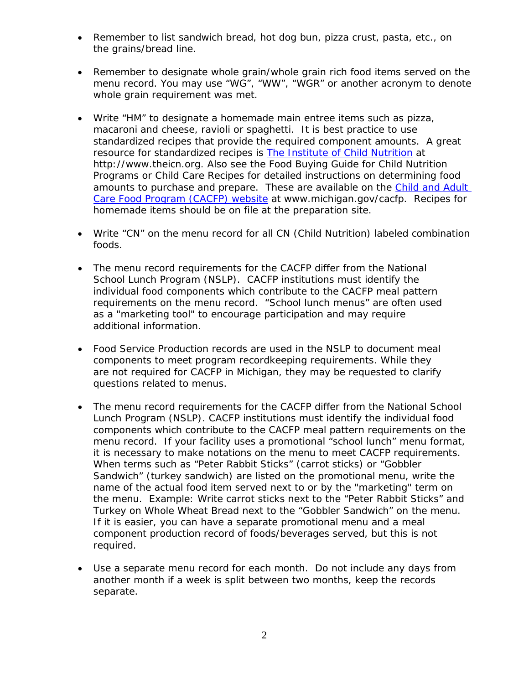- Remember to list sandwich bread, hot dog bun, pizza crust, pasta, etc., on the grains/bread line.
- Remember to designate whole grain/whole grain rich food items served on the menu record. You may use "WG", "WW", "WGR" or another acronym to denote whole grain requirement was met.
- Write "HM" to designate a homemade main entree items such as pizza, macaroni and cheese, ravioli or spaghetti. It is best practice to use standardized recipes that provide the required component amounts. A great resource for standardized recipes is [The Institute of Child Nutrition](http://www.theicn.org/) at http://www.theicn.org. Also see the *Food Buying Guide for Child Nutrition Programs* or *Child Care Recipes* for detailed instructions on determining food amounts to purchase and prepare. These are available on the Child and Adult [Care Food Program \(CACFP\) website](http://www.michigan.gov/cacfp) at www.michigan.gov/cacfp. Recipes for homemade items should be on file at the preparation site.
- Write "CN" on the menu record for all CN (Child Nutrition) labeled combination foods.
- The menu record requirements for the CACFP differ from the National School Lunch Program (NSLP). CACFP institutions must identify the individual food components which contribute to the CACFP meal pattern requirements on the menu record. "School lunch menus" are often used as a "marketing tool" to encourage participation and may require additional information.
- Food Service Production records are used in the NSLP to document meal components to meet program recordkeeping requirements. While they are not required for CACFP in Michigan, they may be requested to clarify questions related to menus.
- The menu record requirements for the CACFP differ from the National School Lunch Program (NSLP). CACFP institutions must identify the individual food components which contribute to the CACFP meal pattern requirements on the menu record. If your facility uses a promotional "school lunch" menu format, it is necessary to make notations on the menu to meet CACFP requirements. When terms such as "*Peter Rabbit Sticks" (carrot sticks)* or "*Gobbler Sandwich" (turkey sandwich)* are listed on the promotional menu, write the name of the actual food item served next to or by the "marketing" term on the menu. *Example*: Write *carrot sticks* next to the "Peter Rabbit Sticks" and *Turkey on Whole Wheat Bread* next to the "Gobbler Sandwich" on the menu. If it is easier, you can have a separate promotional menu and a meal component production record of foods/beverages served, but this is not required.
- Use a separate menu record for each month. Do not include any days from another month if a week is split between two months, keep the records separate.